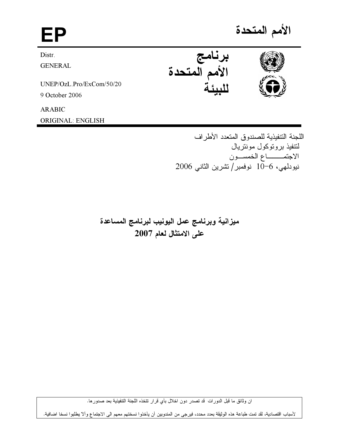# الأمم المتحدة EP برنامج<br>الأمم المتحدة Distr. **GENERAL** UNEP/OzL.Pro/ExCom/50/20 9 October 2006 **ARABIC**

**ORIGINAL: ENGLISH** 

اللجنة التنفيذية للصندوق المتعدد الأطراف لتتفيذ بروتوكول مونتريال الاجتمـــــاع الخمســون نيودلمهي، 6–10 نوفمبر/تشرين الثاني 2006

ميزانية وبرنامج عمل اليونيب لبرنامج المساعدة على الامتثال لعام 2007

ان وثائق ما قبل الدورات قد تصدر دون اخلال بأي قرار تتخذه اللجنة التنفيذية بعد صدورها.

لأسباب اقتصادية، لقد تمت طباعة هذه الوثيقة بعدد محدد، فيرجى من المندوبين أن يأخذوا نسختهم معهم الى الاجتماع وألا يطلبوا نسخا اضافية.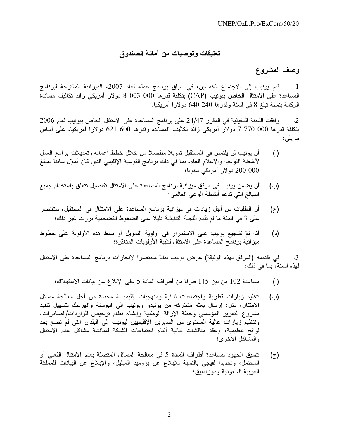# تعليقات وتوصيات من أمانـة الصندوق

# وصف المشروع

قدم يونيب إلى الاجتماع الخمسين، في سياق برنامج عمله لعام 2007، الميزانية المقترحة لبرنامج  $\overline{\phantom{a}}$ .1 المساعدة على الامتثال الخاص بيونيب (CAP) بتكلفة قدرها 000 003 0 دولار أمريكي زائد تكاليف مساندة الوكالة بنسبة تبلغ 8 في المئة وقدرها 240 640 دولارا أمريكيا.

وافقت اللجنة التنفيذية في المقرر 24/47 على برنامج المساعدة على الامتثال الخاص بيونيب لعام 2006  $\cdot$ .2 بتكلفة قدرها 000 770 7 دولار أمريكي زائد تكاليف المساندة وقدرها 600 621 دولارا أمريكيا، على أساس ما يلي:

- أن يونيب لن يلتمس في المستقبل تمويلاً منفصلاً من خلال خطط أعماله وتعديلات برامج العمل  $(\mathfrak{h})$ لأنشطة النوعية والإعلام العام، بما في ذلك برنامج النوعية الإقليمي الذي كان يُمَوّل سابقًا بمبلغ 000 200 دولار أمريكي سنوياً؛
- َأن يضمن يونيب في مرفق ميزانية برنامج المساعدة على الامتثال تفاصيل تتعلق باستخدام جميع  $(\rightarrow)$ المبالغ التي تدعم أنشطة الوعي العالمي؛
- أن الطلبات من أجل زيادات في ميزانية برنامج المساعدة على الامتثال في المستقبل، ستقتصر  $(\bar{z})$ على 3 في المئة ما لم تقدم اللجنة التنفيذية دليلا على الضغوط التضخمية بررت غير ذلك؛
- أنّه تمّ تشجيع يونيب على الاستمرار في أولوية التمويل أو بسط هذه الأولوية على خطوط  $(\epsilon)$ ميزانية برنامج المساعدة على الامتثال لتلبية الأولويات المتغيّرة؛

في تقديمه (المرفق بهذه الوثيقة) عرض يونيب بياناً مختصراً لإنجازات برنامج المساعدة على الامتثال  $\cdot$ 3 لهذه السنة، بما في ذلك:

- مساعدة 102 من بين 145 طرفا من أطراف المادة 5 على الإبلاغ عن بيانات الاستهلاك؛  $(1)$
- تنظيم زيارات قطرية واجتماعات ثنائية ومنهجيات إقليميـــة محددة من أجل معالجة مسائل (→) الامتثال، مثل: إرسال بعثة مشتركة من يونيدو ويونيب إلى البوسنة والهرسك لتسهيل تنفيذ مشروع التعزيز المؤسسي وخطة الإزالة الوطنية وإنشاء نظام نرخيص للواردات/الصادرات، وتنظيم زيارات عالية المستوى من المديرين الإقليميين ليونيب إلى البلدان التي لم تضع بعد لوائح تنظيمية، وعقد مناقشات ثنائية أثناء اجتماعات الشبكة لمناقشة مشاكل عدم الامتثال والمشاكل الأخر ي؛
- تنسيق الجهود لمساعدة أطراف المادة 5 في معالجة المسائل المتصلة بعدم الامتثال الفعلي أو  $(\tau)$ المحتمل، وتحديدا لفيجي بالنسبة للإبلاغ عن بروميد الميثيل، والإبلاغ عن البيانات للمملكة العر بية السعودية وموز امبيق؛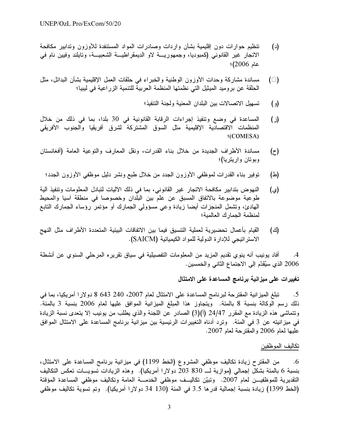- تنظيم حوار ات دون إقليمية بشأن وار دات وصادر ات المواد المستنفدة للأوزون وتدابير ۖ مكافحة  $(\iota)$ الاتجار غير القانوني (كمبوديا، وجمهورية لاو الديمقراطية الشعبيــة، وتايلند وفيين نام في عام 2006)؛
- مساندة مشاركة وحدات الأوزون الوطنية والخبراء في حلقات العمل الإقليمية بشأن البدائل، مثل  $( )$ الْحلَّقة عن بروميد الميثيل التي نظمتها المنظمة العربية للتنمية الزراعية في ليبيا؛
	- تسهيل الاتصالات بين البلدان المعنية ولجنة التنفيذ؛  $\epsilon$
- المساعدة في وضع وتنفيذ إجراءات الرقابة القانونية في 30 بلدا، بما في ذلك من خلال  $(i)$ المنظمات الاقتصادية الإقليمية مثل السوق المشتركة لشرق أفريقيا والجنوب الأفريقي **(COMESA)**
- مساندة الأطراف الجديدة من خلال بناء القدرات، ونقل المعارف والتوعية العامة (أفغانستان  $(\tau)$ وبوتان واريتريا)؛
- توفير بناء القدرات لموظفي الأوزون الجدد من خلال طبع ونشر دليل موظفي الأوزون الجدد؛ (스)
- النهوض بتدابير مكافحة الاتجار غير القانوني، بما في ذلك الآليات لتبادل المعلومات وتنفيذ آلية (ي) طوعية موضوعة بالاتفاق المسبق عن علم بين البلدان وخصوصا في منطقة آسيا والمحيط المهادئ، وتشمل المنجزات أيضا زيادة وعى مسؤولى الجمارك أو مؤتمر رؤساء الجمارك التابع لمنظمة الجمارك العالمية؛
- القيام بأعمال تحضيرية لعملية التنسيق فيما بين الاتفاقات البيئية المتعددة الأطراف مثل النهج (ජ) الاستر اتيجي للإدارة الدولية للمواد الكيميائية (SAICM).

أفاد يونيب أنه ينوي تقديم المزيد من المعلومات التفصيلية في سياق تقريره المرحلي السنوي عن أنشطة  $.4$ 2006 الذي سيُقدّم إلى الاجتماع الثاني والخمسين.

# تغييرات على ميزانية برنامج المساعدة على الامتثال

تبلغ الميزانية المقترحة لبرنامج المساعدة على الامتثال لعام 2007، 240 643 8 دولارا أمريكيا، بما في  $.5$ ذلك رسم الوكالة بنسبة 8 بالمئة. ويتجاوز هذا المبلغ الميزانية الموافق عليها لعام 2006 بنسبة 3 بالمئة. وتتماشى هذه الزيادة مع المقرر 24/47 (أ)(3) الصادر عن اللجنة والذي يطلب من يونيب إلا يتعدى نسبة الزيادة في ميز انيته عن 3 في المئة. وترد أدناه التغيير ات الرئيسية بين ميز انية برنامج المساعدة على الامتثال الموافق عليها لمعام 2006 والمقترحة لعام 2007.

# تكاليف الموظفين

من المقترح زيادة تكاليف موظفي المشروع (الخط 1199) في ميزانية برنامج المساعدة على الامتثال، .6 بنسبة 6 بالمئة بشكل إجمالي (موازية لـــ 830 203 دولارا أمريكيا). وهذه الزيادات نسويـــات نعكس النكاليف التقديرية للموظفيـــن لعام 2007. وتبيّن تكاليـــف موظفي الخدمــــة العامة وتكاليف موظفي المساعدة المؤقتة (الخط 1399) زيادة بنسبة إجمالية قدرها 3.5 في المئة (130 34 دولارا أمريكيا). وتم تسوية تكاليف موظفى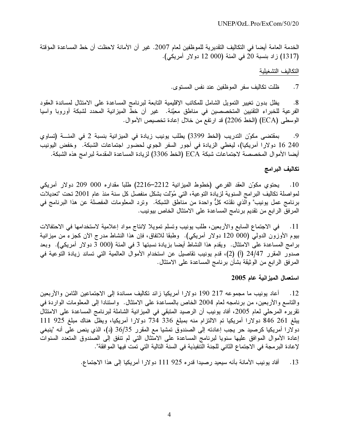الخدمة العامة أيضا في التكاليف التقديرية للموظفين لعام 2007. غير أن الأمانة لاحظت أن خط المساعدة المؤقتة (1317) زاد بنسبة 20 في المئة (000 12 دولار أمريكي).

#### التكاليف التشغيلية

ظلت تكاليف سفر الموظفين عند نفس المستوى.  $.7$ 

يظل بدون تغيير التمويل الشامل للمكاتب الإقليمية التابعة لبرنامج المساعدة على الامتثال لمساندة العقود  $.8$ الفرعية للخبراء التقنيين المتخصصين في مناطق معيّنة. غير أن خطّ الميزانية المحدد لشبكة أوروبا وآسيا الوسطى (ECA) (الخط 2206) قد ارتفع من خلال إعادة تخصيص الأموال.

بمقتضى مكوّن التدريب (الخط 3399) يطلب يونيب زيادة في الميزانية بنسبة 2 في المئـــة (تساوي .9 240 16 دولارا أمريكيا)، ليغطي الزيادة في أجور السفر الجوي لحضور اجتماعات الشبكة. وخفض اليونيب أيضا الأموال المخصصة لاجتماعات شبكة ECA (الخط 3306) لزيادة المساعدة المقدمة لبر امج هذه الشبكة.

## تكاليف البرامج

10. يحتوى مكوّن العقد الفرعي (خطوط الميزانية 2212–2216) طلباً مقداره 000 009 دولار أمريكي لمواصلة تكاليف البرامج السنوية لزيادة التوعية، التي مُولت بشكل منفصل كل سنة منذ عام 2001 تحت "تعديلات برنامج عمل يونيب" والذي نقذته كلٌّ واحدة من مناطق الشبكة. ۖ وترد المعلومات المفصلة عن هذا البرنامج في المرفق الرابع من تقديم برنامج المساعدة على الامتثال الخاص بيونيب.

في الاجتماع السابع والأربعين، طلب يونيب وتسلم تمويلا لإنتاج مواد إعلامية لاستخدامها في الاحتفالات  $\overline{\phantom{0}}$ .11 بيوم الأوزون الدولمي (000 120 دولار أمريكي). وطبقا للاتفاق، فإن هذا النشاط مدرج الآن كجزء من ميزانية برامج المساعدة على الامتثال. ويقدم هذا النشاط أيضا بزيادة نسبتها 3 في المئة (000 3 دولار أمريكي). وبعد صدور المقرر 24/47 (أ) (2)، قدم يونيب تقاصيل عن استخدام الأموال العالمية التي تساند زيادة التوعية في المرفق الرابع من الوثيقة بشأن برنامج المساعدة على الامتثال.

## استعمال الميزانية عام 2005

أعاد يونيب ما مجموعه 217 190 دولارا أمريكيا زائد تكاليف مساندة إلى الاجتماعين الثامن والأربعين  $.12$ والتاسع والأربعين، من برنامجه لعام 2004 الخاص بالمساعدة على الامتثال. واستنادا إلى المعلومات الواردة في تقريره المرحلي لعام 2005، أفاد يونيب أن الرصيد المتبقى في الميزانية الشاملة لبرنامج المساعدة على الامتثال يبلغ 261 846 دولارا أمريكيا تم الالتزام منه بمبلغ 336 334 دولارا أمريكيا، ويظل هناك مبلغ 925 111 دولارا أمريكيا كرصيد حر يجب إعادته إلى الصندوق تمشيا مع المقرر 36/35 (د)، الذي ينص على أنه "ينبغي إعادة الأموال الموافق عليها سنويا لبرنامج المساعدة على الامتثال التي لم تنفق إلى الصندوق المتعدد السنوات لإعادة البرمجة في الاجتماع الثاني للجنة التنفيذية في السنة التالية التي تمت فيها الموافقة".

> أفاد يونيب الأمانة بأنه سيعيد رصيدا قدره 925 111 دولارا أمريكيا إلى هذا الاجتماع.  $.13$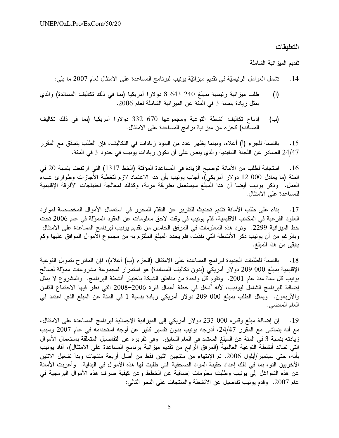## التعليقات

تقديم الميز انية الشاملة

- تشمل العوامل الرئيسيَّة في تقديم ميزانيَّة يونيب لبرنامج المساعدة على الامتثال لعام 2007 ما يلي:  $.14$
- طلب ميزانية رئيسية بمبلغ 240 643 8 دولارا أمريكيا (بما في ذلك تكاليف المساندة) والذي  $(\mathfrak{h})$ يمثِّل زيادة بنسبة 3 في المئة عن الميز انية الشاملة لعام 2006.
- إدماج تكاليف أنشطة التوعية ومجموعها 670 332 دولارا أمريكيا (بما في ذلك تكاليف  $(\rightarrow)$ المساندة) كجزء من ميز انية بر امج المساعدة على الامتثال.

بالنسبة للجزء (أ) أعلاه، وبينما يظهر عدد من البنود زيادات في التكاليف، فإن الطلب يتسقق مع المقرر  $.15$ 24/47 الصادر عن اللجنة التنفيذية والذي ينص على أن تكون زيادات يونيب في حدود 3 في المئة.

استجابة لطلب من الأمانة توضيح الزيادة في المساعدة المؤقتة (الخط 1317) التي ارتفعت بنسبة 20 في  $.16$ المئة (ما يعادل 000 12 دولار أمريكي)، أجاب يونيب بأن هذا الاعتماد لازم لتغطية الأجازات وطوارئ عبء العمل. وذكر يونيب أيضا أن هذا المبلغ سيستعمل بطريقة مرنة، وكذلك لمعالجة احتياجات الأفرقة الإقليمية للمساعدة على الامتثال.

بناء على طلب الأمانة تقديم تحديث للتقرير عن التقدّم المحرز في استعمال الأموال المخصصة لموارد  $.17$ العقود الفرعية في المكاتب الإقليمية، قدّم يونيب في وقت لاحق معلومات عن العقود المموّلة في عام 2006 تحت خط الميز انية 2299. وترد هذه المعلومات في المرفق الخامس من نقديم يونيب لبرنامج المساعدة على الامتثال. وبالرغم من أن يونيب ذكر الأنشطة التي نفذت، فلم يحدد المبلغ الملتزم به من مجموع الأموال الموافق عليها وكم يتبقى من هذا المبلغ.

بالنسبة للطلبات الجديدة لبرامج المساعدة على الامتثال (الجزء (ب) أعلاه)، فإن المقترح بتمويل التوعية  $.18$ الإقليمية بمبلغ 000 209 دولار أمريكي (بدون تكاليف المساندة) هو استمرار لمجموعة مشروعات ممولة لصالح يونيب كل سنة منذ عام 2001. ونقوم كل واحدة من مناطق الشبكة باختيار أنشطة البرنامج. والمشروع لا يمثل إضافة للبرنامج الشامل ليونيب، لأنه أدخل في خطة أعمال فترة 2006–2008 التي نظر فيها الاجتماع الثامن والأربعون. ويمثِّل الطلب بمبلغ 000 099 دولار أمريكي زيادة بنسبة 1 في المئة عن المبلغ الذي اعتمد في العام الماضبي.

إن إضـافة مبلـغ وقدره 000 233 دولار أمريكي إلى المميزانية الإجمالية لبرنـامـج المساعدة علـى الامتثال، .19 مع أنه يتماشى مع المقرر 24/47، أدرجه يونيب بدون تفسير كثير عن أوجه استخدامه في عام 2007 وسبب زيادته بنسبة 3 في المئة عن المبلغ المعتمد في العام السابق. وفي تقريره عن التفاصيل المتعلقة باستعمال الأموال التي تساند أنشطة التوعية العالمية (المرفق الرابع من تقديم ميزانية برنامج المساعدة على الامتثال)، أفاد يونيب بأنه، حتى سبتمبر/أيلول 2006، تم الإنتهاء من منتجين اثنين فقط من أصل أربعة منتجات وبدأ تشغيل الاثنين الآخريين التو، بما في ذلك إعداد حقيبة المواد الصحفية التي طلبت لها هذه الأموال في البداية. ۖ وأعربت الأمانة عن هذه الشواغل إلى يونيب وطلبت معلومات إضافية عن الخطط وعن كيفية صرف هذه الأموال البرمجية في عام 2007. وقدم يونيب تفاصيل عن الأنشطة والمنتجات على النحو التالي: